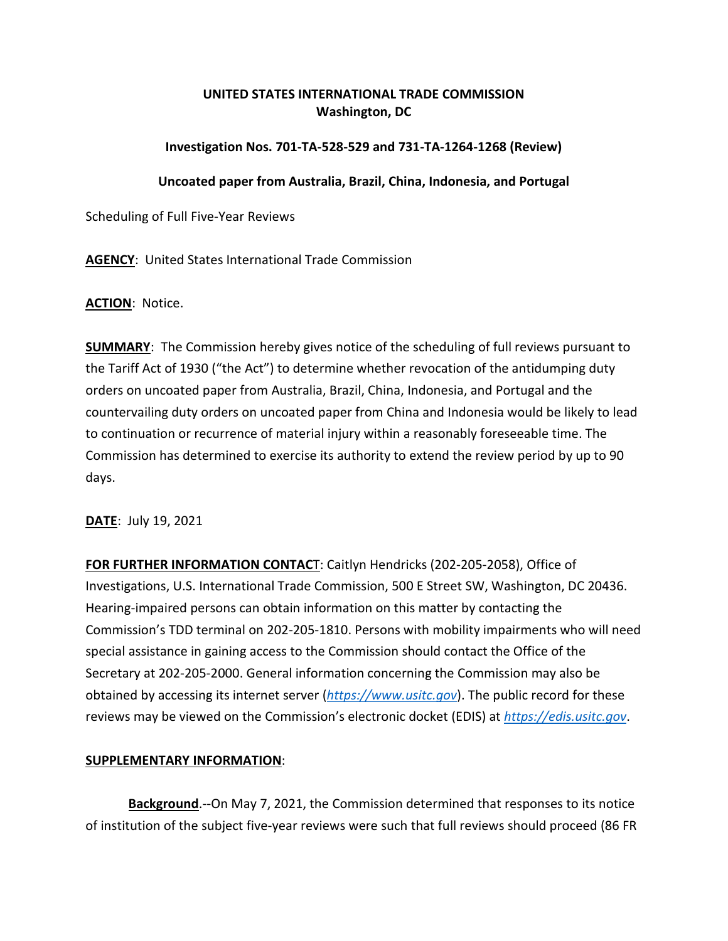## **UNITED STATES INTERNATIONAL TRADE COMMISSION Washington, DC**

## **Investigation Nos. 701-TA-528-529 and 731-TA-1264-1268 (Review)**

## **Uncoated paper from Australia, Brazil, China, Indonesia, and Portugal**

Scheduling of Full Five-Year Reviews

**AGENCY**: United States International Trade Commission

**ACTION**: Notice.

**SUMMARY**: The Commission hereby gives notice of the scheduling of full reviews pursuant to the Tariff Act of 1930 ("the Act") to determine whether revocation of the antidumping duty orders on uncoated paper from Australia, Brazil, China, Indonesia, and Portugal and the countervailing duty orders on uncoated paper from China and Indonesia would be likely to lead to continuation or recurrence of material injury within a reasonably foreseeable time. The Commission has determined to exercise its authority to extend the review period by up to 90 days.

**DATE**: July 19, 2021

**FOR FURTHER INFORMATION CONTAC**T: Caitlyn Hendricks (202-205-2058), Office of Investigations, U.S. International Trade Commission, 500 E Street SW, Washington, DC 20436. Hearing-impaired persons can obtain information on this matter by contacting the Commission's TDD terminal on 202-205-1810. Persons with mobility impairments who will need special assistance in gaining access to the Commission should contact the Office of the Secretary at 202-205-2000. General information concerning the Commission may also be obtained by accessing its internet server (*[https://www.usitc.gov](https://www.usitc.gov/)*). The public record for these reviews may be viewed on the Commission's electronic docket (EDIS) at *[https://edis.usitc.gov](https://edis.usitc.gov/)*.

## **SUPPLEMENTARY INFORMATION**:

**Background**.--On May 7, 2021, the Commission determined that responses to its notice of institution of the subject five-year reviews were such that full reviews should proceed (86 FR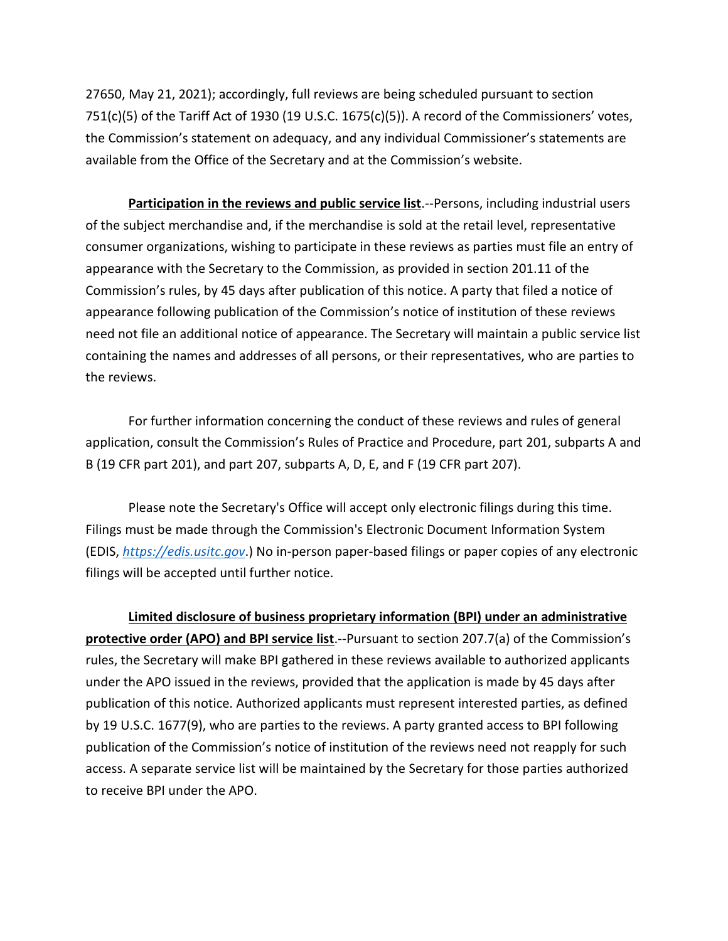27650, May 21, 2021); accordingly, full reviews are being scheduled pursuant to section 751(c)(5) of the Tariff Act of 1930 (19 U.S.C. 1675(c)(5)). A record of the Commissioners' votes, the Commission's statement on adequacy, and any individual Commissioner's statements are available from the Office of the Secretary and at the Commission's website.

**Participation in the reviews and public service list**.--Persons, including industrial users of the subject merchandise and, if the merchandise is sold at the retail level, representative consumer organizations, wishing to participate in these reviews as parties must file an entry of appearance with the Secretary to the Commission, as provided in section 201.11 of the Commission's rules, by 45 days after publication of this notice. A party that filed a notice of appearance following publication of the Commission's notice of institution of these reviews need not file an additional notice of appearance. The Secretary will maintain a public service list containing the names and addresses of all persons, or their representatives, who are parties to the reviews.

For further information concerning the conduct of these reviews and rules of general application, consult the Commission's Rules of Practice and Procedure, part 201, subparts A and B (19 CFR part 201), and part 207, subparts A, D, E, and F (19 CFR part 207).

Please note the Secretary's Office will accept only electronic filings during this time. Filings must be made through the Commission's Electronic Document Information System (EDIS, *[https://edis.usitc.gov](https://edis.usitc.gov/)*.) No in-person paper-based filings or paper copies of any electronic filings will be accepted until further notice.

**Limited disclosure of business proprietary information (BPI) under an administrative protective order (APO) and BPI service list**.--Pursuant to section 207.7(a) of the Commission's rules, the Secretary will make BPI gathered in these reviews available to authorized applicants under the APO issued in the reviews, provided that the application is made by 45 days after publication of this notice. Authorized applicants must represent interested parties, as defined by 19 U.S.C. 1677(9), who are parties to the reviews. A party granted access to BPI following publication of the Commission's notice of institution of the reviews need not reapply for such access. A separate service list will be maintained by the Secretary for those parties authorized to receive BPI under the APO.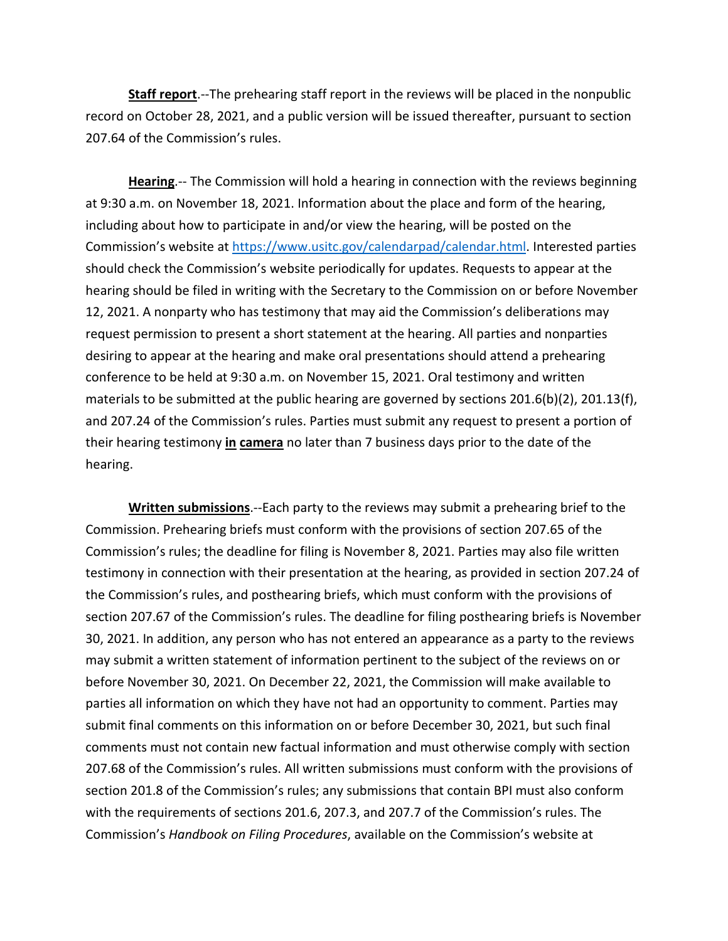**Staff report**.--The prehearing staff report in the reviews will be placed in the nonpublic record on October 28, 2021, and a public version will be issued thereafter, pursuant to section 207.64 of the Commission's rules.

**Hearing**.-- The Commission will hold a hearing in connection with the reviews beginning at 9:30 a.m. on November 18, 2021. Information about the place and form of the hearing, including about how to participate in and/or view the hearing, will be posted on the Commission's website at [https://www.usitc.gov/calendarpad/calendar.html.](https://www.usitc.gov/calendarpad/calendar.html) Interested parties should check the Commission's website periodically for updates. Requests to appear at the hearing should be filed in writing with the Secretary to the Commission on or before November 12, 2021. A nonparty who has testimony that may aid the Commission's deliberations may request permission to present a short statement at the hearing. All parties and nonparties desiring to appear at the hearing and make oral presentations should attend a prehearing conference to be held at 9:30 a.m. on November 15, 2021. Oral testimony and written materials to be submitted at the public hearing are governed by sections 201.6(b)(2), 201.13(f), and 207.24 of the Commission's rules. Parties must submit any request to present a portion of their hearing testimony **in camera** no later than 7 business days prior to the date of the hearing.

**Written submissions**.--Each party to the reviews may submit a prehearing brief to the Commission. Prehearing briefs must conform with the provisions of section 207.65 of the Commission's rules; the deadline for filing is November 8, 2021. Parties may also file written testimony in connection with their presentation at the hearing, as provided in section 207.24 of the Commission's rules, and posthearing briefs, which must conform with the provisions of section 207.67 of the Commission's rules. The deadline for filing posthearing briefs is November 30, 2021. In addition, any person who has not entered an appearance as a party to the reviews may submit a written statement of information pertinent to the subject of the reviews on or before November 30, 2021. On December 22, 2021, the Commission will make available to parties all information on which they have not had an opportunity to comment. Parties may submit final comments on this information on or before December 30, 2021, but such final comments must not contain new factual information and must otherwise comply with section 207.68 of the Commission's rules. All written submissions must conform with the provisions of section 201.8 of the Commission's rules; any submissions that contain BPI must also conform with the requirements of sections 201.6, 207.3, and 207.7 of the Commission's rules. The Commission's *Handbook on Filing Procedures*, available on the Commission's website at